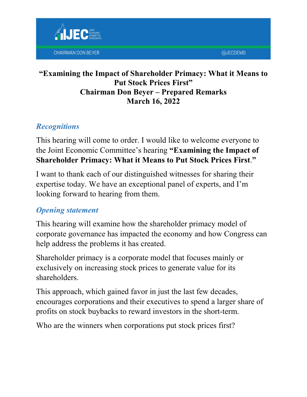

## **"Examining the Impact of Shareholder Primacy: What it Means to Put Stock Prices First" Chairman Don Beyer – Prepared Remarks March 16, 2022**

## *Recognitions*

This hearing will come to order. I would like to welcome everyone to the Joint Economic Committee's hearing **"Examining the Impact of Shareholder Primacy: What it Means to Put Stock Prices First**.**"**

I want to thank each of our distinguished witnesses for sharing their expertise today. We have an exceptional panel of experts, and I'm looking forward to hearing from them.

## *Opening statement*

This hearing will examine how the shareholder primacy model of corporate governance has impacted the economy and how Congress can help address the problems it has created.

Shareholder primacy is a corporate model that focuses mainly or exclusively on increasing stock prices to generate value for its shareholders.

This approach, which gained favor in just the last few decades, encourages corporations and their executives to spend a larger share of profits on stock buybacks to reward investors in the short-term.

Who are the winners when corporations put stock prices first?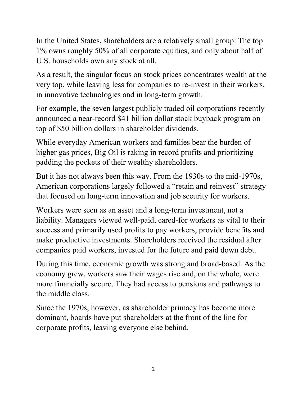In the United States, shareholders are a relatively small group: The top 1% owns roughly 50% of all corporate equities, and only about half of U.S. households own any stock at all.

As a result, the singular focus on stock prices concentrates wealth at the very top, while leaving less for companies to re-invest in their workers, in innovative technologies and in long-term growth.

For example, the seven largest publicly traded oil corporations recently announced a near-record \$41 billion dollar stock buyback program on top of \$50 billion dollars in shareholder dividends.

While everyday American workers and families bear the burden of higher gas prices, Big Oil is raking in record profits and prioritizing padding the pockets of their wealthy shareholders.

But it has not always been this way. From the 1930s to the mid-1970s, American corporations largely followed a "retain and reinvest" strategy that focused on long-term innovation and job security for workers.

Workers were seen as an asset and a long-term investment, not a liability. Managers viewed well-paid, cared-for workers as vital to their success and primarily used profits to pay workers, provide benefits and make productive investments. Shareholders received the residual after companies paid workers, invested for the future and paid down debt.

During this time, economic growth was strong and broad-based: As the economy grew, workers saw their wages rise and, on the whole, were more financially secure. They had access to pensions and pathways to the middle class.

Since the 1970s, however, as shareholder primacy has become more dominant, boards have put shareholders at the front of the line for corporate profits, leaving everyone else behind.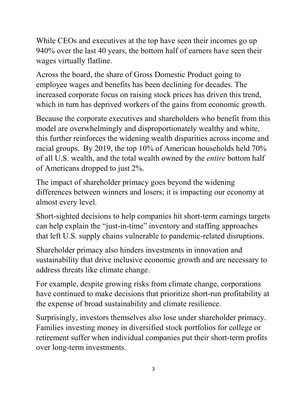While CEOs and executives at the top have seen their incomes go up 940% over the last 40 years, the bottom half of earners have seen their wages virtually flatline.

Across the board, the share of Gross Domestic Product going to employee wages and benefits has been declining for decades. The increased corporate focus on raising stock prices has driven this trend, which in turn has deprived workers of the gains from economic growth.

Because the corporate executives and shareholders who benefit from this model are overwhelmingly and disproportionately wealthy and white, this further reinforces the widening wealth disparities across income and racial groups. By 2019, the top 10% of American households held 70% of all U.S. wealth, and the total wealth owned by the *entire* bottom half of Americans dropped to just 2%.

The impact of shareholder primacy goes beyond the widening differences between winners and losers; it is impacting our economy at almost every level.

Short-sighted decisions to help companies hit short-term earnings targets can help explain the "just-in-time" inventory and staffing approaches that left U.S. supply chains vulnerable to pandemic-related disruptions.

Shareholder primacy also hinders investments in innovation and sustainability that drive inclusive economic growth and are necessary to address threats like climate change.

For example, despite growing risks from climate change, corporations have continued to make decisions that prioritize short-run profitability at the expense of broad sustainability and climate resilience.

Surprisingly, investors themselves also lose under shareholder primacy. Families investing money in diversified stock portfolios for college or retirement suffer when individual companies put their short-term profits over long-term investments.